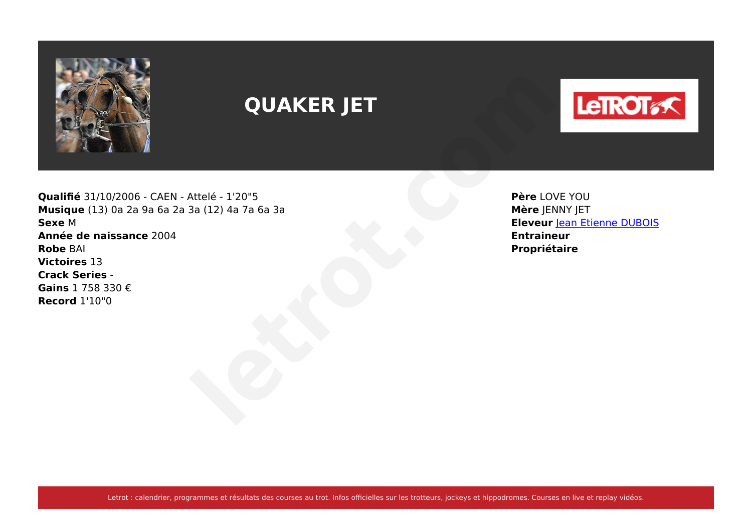

# **QUAKER JET**



**Qualifié** 31/10/2006 - CAEN - Attelé - 1'20"5 **Musique** (13) 0a 2a 9a 6a 2a 3a (12) 4a 7a 6a 3a **Sexe** M **Année de naissance** 2004 **Robe** BAI **Victoires** 13 **Crack Series** - **Gains** 1 758 330 € **Record** 1'10"0 **Propriétaire**<br>
Attelé - 1'20"5<br>
3a (12) 4a 7a 6a 3a<br> **Propriétaire**<br> **Propriétaire**<br> **Propriétaire**<br> **Propriétaire**<br> **Propriétaire** 

**Père** LOVE YOU **Mère** JENNY JET **Eleveur [Jean Etienne DUBOIS](https://www.letrot.com/stats/fiche-homme/jean-etienne-dubois/Z2JabQQAZw/eleveur/dernieres-courses) Entraineur**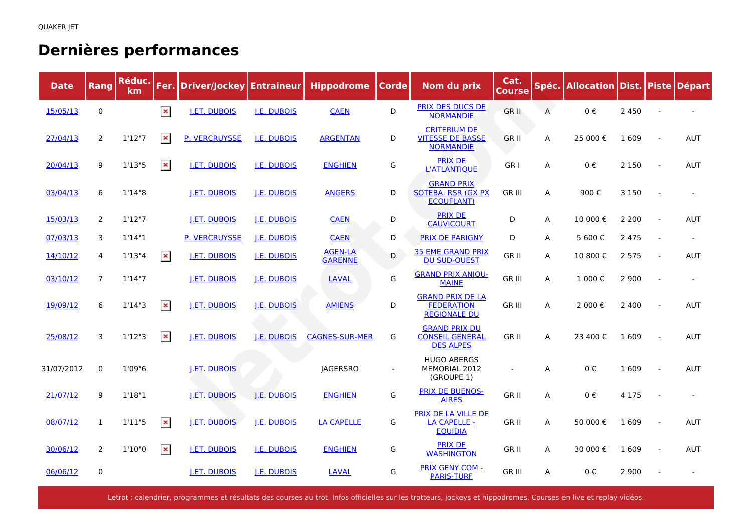### **Dernières performances**

| <b>Date</b> | Rang           | Réduc.<br>km. |                | <b>Fer. Driver/Jockey</b> | <b>Entraineur</b>  | <b>Hippodrome</b>                | <b>Corde</b> | Nom du prix                                                          | Cat.<br><b>Course</b> |                | Spéc. Allocation Dist. Piste |         |                | <b>Départ</b> |
|-------------|----------------|---------------|----------------|---------------------------|--------------------|----------------------------------|--------------|----------------------------------------------------------------------|-----------------------|----------------|------------------------------|---------|----------------|---------------|
| 15/05/13    | $\mathbf 0$    |               | $\pmb{\times}$ | <b>J.ET. DUBOIS</b>       | <b>J.E. DUBOIS</b> | <b>CAEN</b>                      | D            | <b>PRIX DES DUCS DE</b><br><b>NORMANDIE</b>                          | GR II                 | $\overline{A}$ | 0€                           | 2 4 5 0 |                |               |
| 27/04/13    | 2              | 1'12''7       | $\pmb{\times}$ | <b>P. VERCRUYSSE</b>      | <b>J.E. DUBOIS</b> | <b>ARGENTAN</b>                  | D            | <b>CRITERIUM DE</b><br><b>VITESSE DE BASSE</b><br><b>NORMANDIE</b>   | <b>GRII</b>           | A              | 25 000€                      | 1 609   |                | <b>AUT</b>    |
| 20/04/13    | 9              | 1'13''5       | $\pmb{\times}$ | <b>J.ET. DUBOIS</b>       | <b>J.E. DUBOIS</b> | <b>ENGHIEN</b>                   | G            | <b>PRIX DE</b><br><b>L'ATLANTIQUE</b>                                | GR <sub>I</sub>       | A              | 0€                           | 2 1 5 0 | $\sim$         | <b>AUT</b>    |
| 03/04/13    | 6              | 1'14"8        |                | <b>J.ET. DUBOIS</b>       | <b>J.E. DUBOIS</b> | <b>ANGERS</b>                    | D            | <b>GRAND PRIX</b><br><b>SOTEBA. RSR (GX PX)</b><br><b>ECOUFLANT)</b> | <b>GR III</b>         | A              | 900€                         | 3 1 5 0 |                |               |
| 15/03/13    | $\overline{2}$ | 1'12"7        |                | <b>I.ET. DUBOIS</b>       | <b>J.E. DUBOIS</b> | <b>CAEN</b>                      | D            | <b>PRIX DE</b><br><b>CAUVICOURT</b>                                  | D                     | A              | 10 000€                      | 2 2 0 0 |                | <b>AUT</b>    |
| 07/03/13    | 3              | 1'14"1        |                | <b>P. VERCRUYSSE</b>      | <b>J.E. DUBOIS</b> | <b>CAEN</b>                      | D            | <b>PRIX DE PARIGNY</b>                                               | D                     | A              | 5 600€                       | 2 4 7 5 |                |               |
| 14/10/12    | 4              | 1'13''4       | $\pmb{\times}$ | <b>I.ET. DUBOIS</b>       | <b>I.E. DUBOIS</b> | <b>AGEN-LA</b><br><b>GARENNE</b> | D            | <b>35 EME GRAND PRIX</b><br><b>DU SUD-OUEST</b>                      | GR II                 | A              | 10 800 €                     | 2 5 7 5 | $\overline{a}$ | <b>AUT</b>    |
| 03/10/12    | $\overline{7}$ | 1'14''7       |                | <b>I.ET. DUBOIS</b>       | <b>I.E. DUBOIS</b> | <b>LAVAL</b>                     | G            | <b>GRAND PRIX ANJOU-</b><br><b>MAINE</b>                             | GR III                | A              | 1 000€                       | 2 9 0 0 |                |               |
| 19/09/12    | 6              | 1'14''3       | $\pmb{\times}$ | <b>J.ET. DUBOIS</b>       | <b>J.E. DUBOIS</b> | <b>AMIENS</b>                    | D            | <b>GRAND PRIX DE LA</b><br><b>FEDERATION</b><br><b>REGIONALE DU</b>  | GR III                | A              | 2 000€                       | 2 4 0 0 |                | <b>AUT</b>    |
| 25/08/12    | 3              | 1'12''3       | $\pmb{\times}$ | <b>J.ET. DUBOIS</b>       | J.E. DUBOIS        | <b>CAGNES-SUR-MER</b>            | G            | <b>GRAND PRIX DU</b><br><b>CONSEIL GENERAL</b><br><b>DES ALPES</b>   | GR II                 | A              | 23 400 €                     | 1 609   |                | <b>AUT</b>    |
| 31/07/2012  | 0              | 1'09"6        |                | <b>I.ET. DUBOIS</b>       |                    | <b>JAGERSRO</b>                  |              | <b>HUGO ABERGS</b><br>MEMORIAL 2012<br>(GROUPE 1)                    |                       | A              | 0€                           | 1 609   |                | <b>AUT</b>    |
| 21/07/12    | 9              | 1'18"1        |                | <b>J.ET. DUBOIS</b>       | <b>J.E. DUBOIS</b> | <b>ENGHIEN</b>                   | G            | <b>PRIX DE BUENOS-</b><br><b>AIRES</b>                               | <b>GRII</b>           | A              | 0€                           | 4 1 7 5 |                |               |
| 08/07/12    | $\mathbf{1}$   | 1'11''5       | $\pmb{\times}$ | <b>I.ET. DUBOIS</b>       | <b>I.E. DUBOIS</b> | <b>LA CAPELLE</b>                | G            | PRIX DE LA VILLE DE<br><b>LA CAPELLE -</b><br><b>EQUIDIA</b>         | GR II                 | A              | 50 000€                      | 1609    |                | <b>AUT</b>    |
| 30/06/12    | 2              | 1'10"0        | $\pmb{\times}$ | <b>J.ET. DUBOIS</b>       | <b>J.E. DUBOIS</b> | <b>ENGHIEN</b>                   | G            | <b>PRIX DE</b><br><b>WASHINGTON</b>                                  | <b>GRII</b>           | A              | 30 000 €                     | 1 609   |                | <b>AUT</b>    |
| 06/06/12    | $\mathbf 0$    |               |                | <b>J.ET. DUBOIS</b>       | <b>J.E. DUBOIS</b> | <b>LAVAL</b>                     | G            | <b>PRIX GENY.COM -</b><br><b>PARIS-TURF</b>                          | <b>GR III</b>         | A              | 0€                           | 2 9 0 0 |                |               |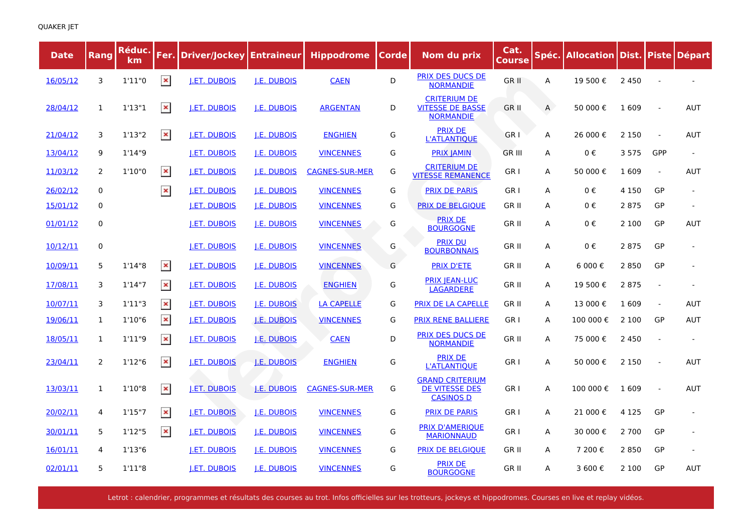| <b>Date</b> | Rang         | Réduc.<br>km |                | Fer. Driver/Jockey Entraineur |                    | <b>Hippodrome</b>     | Corde | Nom du prix                                                        | Cat.<br><b>Course</b> |   | Spéc.   Allocation   Dist.   Piste   Départ |         |                |            |
|-------------|--------------|--------------|----------------|-------------------------------|--------------------|-----------------------|-------|--------------------------------------------------------------------|-----------------------|---|---------------------------------------------|---------|----------------|------------|
| 16/05/12    | 3            | 1'11''0      | $\pmb{\times}$ | <b>J.ET. DUBOIS</b>           | <b>J.E. DUBOIS</b> | <b>CAEN</b>           | D     | <b>PRIX DES DUCS DE</b><br><b>NORMANDIE</b>                        | GR II                 | Α | 19 500€                                     | 2 4 5 0 |                |            |
| 28/04/12    | $\mathbf{1}$ | 1'13''1      | $\pmb{\times}$ | <u>I.ET. DUBOIS</u>           | <u>I.E. DUBOIS</u> | <b>ARGENTAN</b>       | D     | <b>CRITERIUM DE</b><br><b>VITESSE DE BASSE</b><br><b>NORMANDIE</b> | GR II                 | A | 50 000€                                     | 1 609   |                | <b>AUT</b> |
| 21/04/12    | 3            | 1'13''2      | $\pmb{\times}$ | <b>I.ET. DUBOIS</b>           | <b>J.E. DUBOIS</b> | <b>ENGHIEN</b>        | G     | <b>PRIX DE</b><br><b>L'ATLANTIOUE</b>                              | GR I                  | А | 26 000 €                                    | 2 1 5 0 |                | <b>AUT</b> |
| 13/04/12    | 9            | 1'14''9      |                | <b>J.ET. DUBOIS</b>           | <b>J.E. DUBOIS</b> | <b>VINCENNES</b>      | G     | <b>PRIX JAMIN</b>                                                  | <b>GR III</b>         | А | 0€                                          | 3 5 7 5 | GPP            |            |
| 11/03/12    | 2            | 1'10"0       | $\pmb{\times}$ | <u>I.ET. DUBOIS</u>           | <u>I.E. DUBOIS</u> | <b>CAGNES-SUR-MER</b> | G     | <b>CRITERIUM DE</b><br><b>VITESSE REMANENCE</b>                    | GR I                  | А | 50 000€                                     | 1 609   | $\overline{a}$ | <b>AUT</b> |
| 26/02/12    | $\mathbf 0$  |              | $\pmb{\times}$ | <b>I.ET. DUBOIS</b>           | <b>J.E. DUBOIS</b> | <b>VINCENNES</b>      | G     | <b>PRIX DE PARIS</b>                                               | GR I                  | A | 0€                                          | 4 1 5 0 | GP             |            |
| 15/01/12    | 0            |              |                | <u>I.ET. DUBOIS</u>           | <u>I.E. DUBOIS</u> | <b>VINCENNES</b>      | G     | <b>PRIX DE BELGIQUE</b>                                            | <b>GRII</b>           | A | 0€                                          | 2 8 7 5 | GP             |            |
| 01/01/12    | $\mathbf 0$  |              |                | <b>J.ET. DUBOIS</b>           | J.E. DUBOIS        | <b>VINCENNES</b>      | G     | <b>PRIX DE</b><br><b>BOURGOGNE</b>                                 | <b>GRII</b>           | A | 0€                                          | 2 100   | GP             | <b>AUT</b> |
| 10/12/11    | 0            |              |                | <b>I.ET. DUBOIS</b>           | <b>J.E. DUBOIS</b> | <b>VINCENNES</b>      | G     | <b>PRIX DU</b><br><b>BOURBONNAIS</b>                               | <b>GRII</b>           | А | 0€                                          | 2 8 7 5 | GP             |            |
| 10/09/11    | 5            | 1'14''8      | $\pmb{\times}$ | <b>I.ET. DUBOIS</b>           | <b>J.E. DUBOIS</b> | <b>VINCENNES</b>      | G     | <b>PRIX D'ETE</b>                                                  | <b>GRII</b>           | А | 6 000€                                      | 2850    | GP             |            |
| 17/08/11    | 3            | 1'14''7      | $\pmb{\times}$ | <b>I.ET. DUBOIS</b>           | <b>J.E. DUBOIS</b> | <b>ENGHIEN</b>        | G     | <b>PRIX JEAN-LUC</b><br><b>LAGARDERE</b>                           | GR II                 | А | 19 500€                                     | 2 8 7 5 |                |            |
| 10/07/11    | 3            | 1'11''3      | $\pmb{\times}$ | <b>I.ET. DUBOIS</b>           | <b>J.E. DUBOIS</b> | <b>LA CAPELLE</b>     | G     | <b>PRIX DE LA CAPELLE</b>                                          | <b>GRII</b>           | A | 13 000 €                                    | 1609    | $\sim$         | <b>AUT</b> |
| 19/06/11    | 1            | 1'10''6      | $\pmb{\times}$ | J.ET. DUBOIS                  | J.E. DUBOIS        | <b>VINCENNES</b>      | G     | <b>PRIX RENE BALLIERE</b>                                          | GR I                  | А | 100 000€                                    | 2 1 0 0 | GP             | <b>AUT</b> |
| 18/05/11    | 1            | 1'11''9      | $\pmb{\times}$ | <b>I.ET. DUBOIS</b>           | <b>I.E. DUBOIS</b> | <b>CAEN</b>           | D     | <b>PRIX DES DUCS DE</b><br><b>NORMANDIE</b>                        | GR II                 | A | 75 000€                                     | 2 4 5 0 |                |            |
| 23/04/11    | 2            | 1'12''6      | $\pmb{\times}$ | <u>I.ET. DUBOIS</u>           | <u>I.E. DUBOIS</u> | <b>ENGHIEN</b>        | G     | <b>PRIX DE</b><br><b>L'ATLANTIQUE</b>                              | GR I                  | А | 50 000€                                     | 2 1 5 0 |                | <b>AUT</b> |
| 13/03/11    | 1            | 1'10''8      | $\pmb{\times}$ | I.ET. DUBOIS                  | <b>J.E. DUBOIS</b> | <b>CAGNES-SUR-MER</b> | G     | <b>GRAND CRITERIUM</b><br>DE VITESSE DES<br><b>CASINOS D</b>       | GR I                  | А | 100 000 €                                   | 1609    |                | <b>AUT</b> |
| 20/02/11    | 4            | 1'15''7      | $\pmb{\times}$ | <b>I.ET. DUBOIS</b>           | <b>J.E. DUBOIS</b> | <b>VINCENNES</b>      | G     | <b>PRIX DE PARIS</b>                                               | GR I                  | А | 21 000€                                     | 4 1 2 5 | GP             |            |
| 30/01/11    | 5            | 1'12"5       | $\pmb{\times}$ | <b>I.ET. DUBOIS</b>           | <b>J.E. DUBOIS</b> | <b>VINCENNES</b>      | G     | <b>PRIX D'AMERIQUE</b><br><b>MARIONNAUD</b>                        | GR <sub>I</sub>       | А | 30 000 €                                    | 2 7 0 0 | GP             |            |
| 16/01/11    | 4            | 1'13''6      |                | <b>I.ET. DUBOIS</b>           | <b>I.E. DUBOIS</b> | <b>VINCENNES</b>      | G     | <b>PRIX DE BELGIQUE</b>                                            | <b>GRII</b>           | А | 7 200€                                      | 2850    | GP             |            |
| 02/01/11    | 5            | 1'11''8      |                | <b>J.ET. DUBOIS</b>           | <b>J.E. DUBOIS</b> | <b>VINCENNES</b>      | G     | <b>PRIX DE</b><br><b>BOURGOGNE</b>                                 | <b>GRII</b>           | A | 3 600€                                      | 2 100   | GP             | <b>AUT</b> |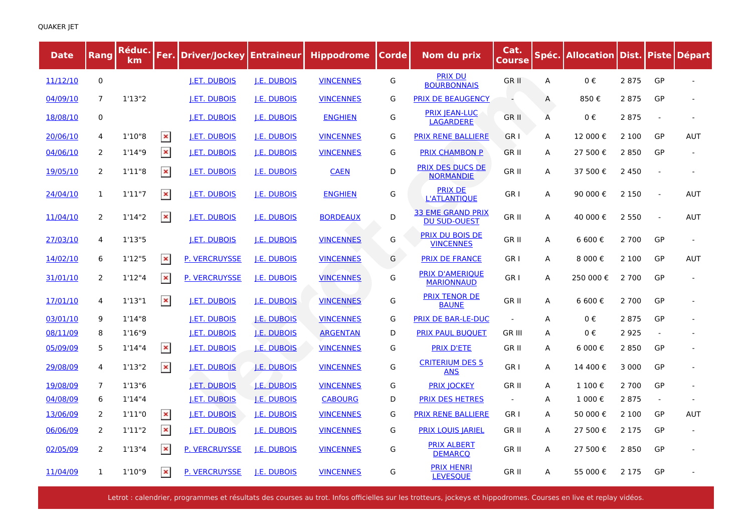| <b>Date</b> | Rang           | Réduc.<br>km |                | Fer. Driver/Jockey Entraineur |                    | <b>Hippodrome</b> | Corde | Nom du prix                                     | Cat.<br><b>Course</b> |   | Spéc.   Allocation   Dist.   Piste   Départ |         |        |            |
|-------------|----------------|--------------|----------------|-------------------------------|--------------------|-------------------|-------|-------------------------------------------------|-----------------------|---|---------------------------------------------|---------|--------|------------|
| 11/12/10    | $\mathbf 0$    |              |                | <b>I.ET. DUBOIS</b>           | <b>J.E. DUBOIS</b> | <b>VINCENNES</b>  | G     | <b>PRIX DU</b><br><b>BOURBONNAIS</b>            | <b>GR II</b>          | А | 0€                                          | 2 8 7 5 | GP     |            |
| 04/09/10    | $\overline{7}$ | 1'13''2      |                | <b>I.ET. DUBOIS</b>           | <b>I.E. DUBOIS</b> | <b>VINCENNES</b>  | G     | <b>PRIX DE BEAUGENCY</b>                        | $\sim$                | А | 850€                                        | 2 8 7 5 | GP     |            |
| 18/08/10    | $\mathbf 0$    |              |                | <b>I.ET. DUBOIS</b>           | <b>I.E. DUBOIS</b> | <b>ENGHIEN</b>    | G     | <b>PRIX IEAN-LUC</b><br><b>LAGARDERE</b>        | GR II                 | A | $0 \in$                                     | 2875    | $\sim$ |            |
| 20/06/10    | 4              | 1'10''8      | $\pmb{\times}$ | <b>I.ET. DUBOIS</b>           | <b>J.E. DUBOIS</b> | <b>VINCENNES</b>  | G     | <b>PRIX RENE BALLIERE</b>                       | GR I                  | A | 12 000€                                     | 2 1 0 0 | GP     | <b>AUT</b> |
| 04/06/10    | 2              | 1'14''9      | $\pmb{\times}$ | <b>I.ET. DUBOIS</b>           | <b>I.E. DUBOIS</b> | <b>VINCENNES</b>  | G     | <b>PRIX CHAMBON P</b>                           | GR II                 | А | 27 500 €                                    | 2 8 5 0 | GP     |            |
| 19/05/10    | $\overline{2}$ | 1'11''8      | $\pmb{\times}$ | <b>I.ET. DUBOIS</b>           | <b>I.E. DUBOIS</b> | <b>CAEN</b>       | D     | PRIX DES DUCS DE<br><b>NORMANDIE</b>            | GR II                 | А | 37 500€                                     | 2 4 5 0 |        |            |
| 24/04/10    | $\mathbf{1}$   | 1'11''7      | $\pmb{\times}$ | <b>J.ET. DUBOIS</b>           | <b>J.E. DUBOIS</b> | <b>ENGHIEN</b>    | G     | <b>PRIX DE</b><br><b>L'ATLANTIQUE</b>           | GR I                  | А | 90 000 €                                    | 2 1 5 0 | $\sim$ | <b>AUT</b> |
| 11/04/10    | 2              | 1'14''2      | $\pmb{\times}$ | <b>I.ET. DUBOIS</b>           | <b>I.E. DUBOIS</b> | <b>BORDEAUX</b>   | D     | <b>33 EME GRAND PRIX</b><br><b>DU SUD-OUEST</b> | GR II                 | А | 40 000 €                                    | 2 5 5 0 | $\sim$ | AUT        |
| 27/03/10    | 4              | 1'13''5      |                | <b>J.ET. DUBOIS</b>           | <b>I.E. DUBOIS</b> | <b>VINCENNES</b>  | G     | <b>PRIX DU BOIS DE</b><br><b>VINCENNES</b>      | GR II                 | А | 6 600€                                      | 2 700   | GP     |            |
| 14/02/10    | 6              | 1'12''5      | $\pmb{\times}$ | <b>P. VERCRUYSSE</b>          | <b>I.E. DUBOIS</b> | <b>VINCENNES</b>  | G     | <b>PRIX DE FRANCE</b>                           | GR I                  | А | 8 000€                                      | 2 100   | GP     | <b>AUT</b> |
| 31/01/10    | 2              | 1'12''4      | $\pmb{\times}$ | <b>P. VERCRUYSSE</b>          | <b>I.E. DUBOIS</b> | <b>VINCENNES</b>  | G     | <b>PRIX D'AMERIQUE</b><br><b>MARIONNAUD</b>     | GR <sub>I</sub>       | А | 250 000€                                    | 2 700   | GP     |            |
| 17/01/10    | 4              | 1'13''1      | $\pmb{\times}$ | <b>I.ET. DUBOIS</b>           | <b>I.E. DUBOIS</b> | <b>VINCENNES</b>  | G     | <b>PRIX TENOR DE</b><br><b>BAUNE</b>            | GR II                 | А | 6 600€                                      | 2 700   | GP     |            |
| 03/01/10    | 9              | 1'14''8      |                | <b>I.ET. DUBOIS</b>           | <b>I.E. DUBOIS</b> | <b>VINCENNES</b>  | G     | <b>PRIX DE BAR-LE-DUC</b>                       |                       | A | 0€                                          | 2875    | GP     |            |
| 08/11/09    | 8              | 1'16''9      |                | <b>J.ET. DUBOIS</b>           | J.E. DUBOIS        | <b>ARGENTAN</b>   | D     | <b>PRIX PAUL BUQUET</b>                         | GR III                | A | 0€                                          | 2 9 2 5 |        |            |
| 05/09/09    | 5              | 1'14''4      | $\pmb{\times}$ | <b>I.ET. DUBOIS</b>           | <b>J.E. DUBOIS</b> | <b>VINCENNES</b>  | G     | <b>PRIX D'ETE</b>                               | <b>GRII</b>           | A | 6 000 €                                     | 2850    | GP     |            |
| 29/08/09    | 4              | 1'13''2      | $\pmb{\times}$ | <b>J.ET. DUBOIS</b>           | <b>J.E. DUBOIS</b> | <b>VINCENNES</b>  | G     | <b>CRITERIUM DES 5</b><br><b>ANS</b>            | GR I                  | А | 14 400€                                     | 3 0 0 0 | GP     |            |
| 19/08/09    | 7              | 1'13''6      |                | <b>I.ET. DUBOIS</b>           | <b>I.E. DUBOIS</b> | <b>VINCENNES</b>  | G     | <b>PRIX JOCKEY</b>                              | GR II                 | А | 1 100€                                      | 2 700   | GP     |            |
| 04/08/09    | 6              | 1'14''4      |                | <b>I.ET. DUBOIS</b>           | <b>J.E. DUBOIS</b> | <b>CABOURG</b>    | D     | <b>PRIX DES HETRES</b>                          | $\sim$                | A | 1 000€                                      | 2875    | $\sim$ |            |
| 13/06/09    | 2              | 1'11"0       | $\pmb{\times}$ | <b>I.ET. DUBOIS</b>           | <u>I.E. DUBOIS</u> | <b>VINCENNES</b>  | G     | <b>PRIX RENE BALLIERE</b>                       | GR I                  | A | 50 000 €                                    | 2 100   | GP     | <b>AUT</b> |
| 06/06/09    | 2              | 1'11''2      | $\pmb{\times}$ | <b>I.ET. DUBOIS</b>           | <b>I.E. DUBOIS</b> | <b>VINCENNES</b>  | G     | <b>PRIX LOUIS JARIEL</b>                        | GR II                 | А | 27 500 €                                    | 2 1 7 5 | GP     |            |
| 02/05/09    | 2              | 1'13''4      | $\pmb{\times}$ | <b>P. VERCRUYSSE</b>          | <b>I.E. DUBOIS</b> | <b>VINCENNES</b>  | G     | <b>PRIX ALBERT</b><br><b>DEMARCQ</b>            | GR II                 | А | 27 500 €                                    | 2 8 5 0 | GP     |            |
| 11/04/09    | 1              | 1'10''9      | $\pmb{\times}$ | <b>P. VERCRUYSSE</b>          | <b>I.E. DUBOIS</b> | <b>VINCENNES</b>  | G     | <b>PRIX HENRI</b><br><b>LEVESQUE</b>            | <b>GRII</b>           | A | 55 000 €                                    | 2 1 7 5 | GP     |            |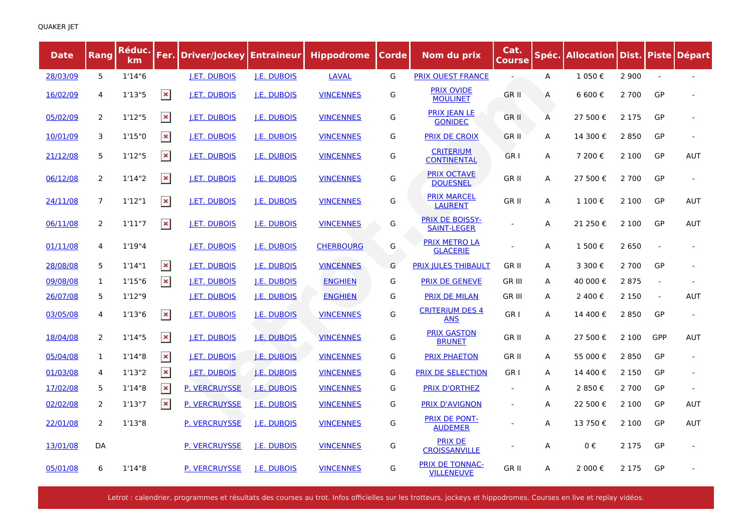| <b>Date</b> | Rang           | Réduc.<br>km |                | Fer. Driver/Jockey Entraineur |                    | <b>Hippodrome</b> | Corde | Nom du prix                                  | Cat.<br><u>Course</u>    | Spéc.        | <b>Allocation Dist. Piste Départ</b> |         |                |            |
|-------------|----------------|--------------|----------------|-------------------------------|--------------------|-------------------|-------|----------------------------------------------|--------------------------|--------------|--------------------------------------|---------|----------------|------------|
| 28/03/09    | 5              | 1'14''6      |                | <b>J.ET. DUBOIS</b>           | <b>J.E. DUBOIS</b> | <b>LAVAL</b>      | G     | <b>PRIX OUEST FRANCE</b>                     |                          | A            | 1 050€                               | 2 9 0 0 |                |            |
| 16/02/09    | 4              | 1'13"5       | $\pmb{\times}$ | <b>I.ET. DUBOIS</b>           | <b>J.E. DUBOIS</b> | <b>VINCENNES</b>  | G     | <b>PRIX OVIDE</b><br><b>MOULINET</b>         | GR II                    | A            | 6 600€                               | 2 700   | GP             |            |
| 05/02/09    | 2              | 1'12''5      | $\pmb{\times}$ | <b>I.ET. DUBOIS</b>           | <b>I.E. DUBOIS</b> | <b>VINCENNES</b>  | G     | <b>PRIX JEAN LE</b><br><b>GONIDEC</b>        | <b>GRII</b>              | A            | 27 500€                              | 2 1 7 5 | GP             |            |
| 10/01/09    | 3              | 1'15"0       | $\pmb{\times}$ | <b>J.ET. DUBOIS</b>           | <b>J.E. DUBOIS</b> | <b>VINCENNES</b>  | G     | <b>PRIX DE CROIX</b>                         | <b>GRII</b>              | A            | 14 300€                              | 2850    | GP             |            |
| 21/12/08    | 5              | 1'12''5      | $\pmb{\times}$ | J.ET. DUBOIS                  | J.E. DUBOIS        | <b>VINCENNES</b>  | G     | <b>CRITERIUM</b><br><b>CONTINENTAL</b>       | GR <sub>I</sub>          | Α            | 7 200€                               | 2 100   | GP             | <b>AUT</b> |
| 06/12/08    | 2              | 1'14''2      | $\pmb{\times}$ | <b>I.ET. DUBOIS</b>           | <b>J.E. DUBOIS</b> | <b>VINCENNES</b>  | G     | <b>PRIX OCTAVE</b><br><b>DOUESNEL</b>        | GR II                    | A            | 27 500 €                             | 2 7 0 0 | GP             |            |
| 24/11/08    | $\overline{7}$ | 1'12''1      | $\pmb{\times}$ | <b>I.ET. DUBOIS</b>           | <u>I.E. DUBOIS</u> | <b>VINCENNES</b>  | G     | <b>PRIX MARCEL</b><br><b>LAURENT</b>         | GR II                    | A            | 1 100€                               | 2 100   | GP             | <b>AUT</b> |
| 06/11/08    | 2              | 1'11''7      | $\pmb{\times}$ | <b>I.ET. DUBOIS</b>           | <b>I.E. DUBOIS</b> | <b>VINCENNES</b>  | G     | <b>PRIX DE BOISSY-</b><br><b>SAINT-LEGER</b> |                          | Α            | 21 250 €                             | 2 100   | GP             | <b>AUT</b> |
| 01/11/08    | 4              | 1'19''4      |                | <b>I.ET. DUBOIS</b>           | <b>I.E. DUBOIS</b> | <b>CHERBOURG</b>  | G     | <b>PRIX METRO LA</b><br><b>GLACERIE</b>      |                          | A            | 1 500€                               | 2 6 5 0 |                |            |
| 28/08/08    | 5              | 1'14''1      | $\pmb{\times}$ | <b>J.ET. DUBOIS</b>           | J.E. DUBOIS        | <b>VINCENNES</b>  | G     | <b>PRIX JULES THIBAULT</b>                   | GR II                    | $\mathsf{A}$ | 3 300 €                              | 2 700   | GP             |            |
| 09/08/08    | 1              | 1'15"6       | $\pmb{\times}$ | <b>I.ET. DUBOIS</b>           | <b>I.E. DUBOIS</b> | <b>ENGHIEN</b>    | G     | <b>PRIX DE GENEVE</b>                        | <b>GR III</b>            | A            | 40 000 €                             | 2875    | $\overline{a}$ |            |
| 26/07/08    | 5              | 1'12"9       |                | <b>I.ET. DUBOIS</b>           | <b>I.E. DUBOIS</b> | <b>ENGHIEN</b>    | G     | <b>PRIX DE MILAN</b>                         | <b>GR III</b>            | A            | 2 400 €                              | 2 1 5 0 |                | <b>AUT</b> |
| 03/05/08    | 4              | 1'13"6       | $\pmb{\times}$ | <b>I.ET. DUBOIS</b>           | <b>I.E. DUBOIS</b> | <b>VINCENNES</b>  | G     | <b>CRITERIUM DES 4</b><br><b>ANS</b>         | GR I                     | A            | 14 400 €                             | 2850    | GP             |            |
| 18/04/08    | 2              | 1'14''5      | $\pmb{\times}$ | <b>I.ET. DUBOIS</b>           | <b>J.E. DUBOIS</b> | <b>VINCENNES</b>  | G     | <b>PRIX GASTON</b><br><b>BRUNET</b>          | GR II                    | A            | 27 500€                              | 2 100   | GPP            | <b>AUT</b> |
| 05/04/08    | 1              | 1'14''8      | $\pmb{\times}$ | <b>I.ET. DUBOIS</b>           | <b>J.E. DUBOIS</b> | <b>VINCENNES</b>  | G     | <b>PRIX PHAETON</b>                          | GR II                    | A            | 55 000€                              | 2850    | GP             |            |
| 01/03/08    | 4              | 1'13''2      | $\pmb{\times}$ | <b>I.ET. DUBOIS</b>           | <b>J.E. DUBOIS</b> | <b>VINCENNES</b>  | G     | <b>PRIX DE SELECTION</b>                     | GR I                     | A            | 14 400 €                             | 2 1 5 0 | GP             |            |
| 17/02/08    | 5              | 1'14"8       | $\pmb{\times}$ | <b>P. VERCRUYSSE</b>          | <b>I.E. DUBOIS</b> | <b>VINCENNES</b>  | G     | <b>PRIX D'ORTHEZ</b>                         | $\overline{\phantom{a}}$ | A            | 2 850€                               | 2 700   | GP             |            |
| 02/02/08    | 2              | 1'13"7       | $\pmb{\times}$ | <b>P. VERCRUYSSE</b>          | <b>I.E. DUBOIS</b> | <b>VINCENNES</b>  | G     | <b>PRIX D'AVIGNON</b>                        | $\overline{\phantom{a}}$ | A            | 22 500 €                             | 2 100   | GP             | <b>AUT</b> |
| 22/01/08    | $\overline{2}$ | 1'13''8      |                | <b>P. VERCRUYSSE</b>          | <b>J.E. DUBOIS</b> | <b>VINCENNES</b>  | G     | <b>PRIX DE PONT-</b><br><b>AUDEMER</b>       |                          | A            | 13 750€                              | 2 100   | GP             | <b>AUT</b> |
| 13/01/08    | DA             |              |                | <b>P. VERCRUYSSE</b>          | <b>I.E. DUBOIS</b> | <b>VINCENNES</b>  | G     | <b>PRIX DE</b><br><b>CROISSANVILLE</b>       |                          | A            | 0€                                   | 2 1 7 5 | GP             |            |
| 05/01/08    | 6              | 1'14''8      |                | <b>P. VERCRUYSSE</b>          | <b>J.E. DUBOIS</b> | <b>VINCENNES</b>  | G     | <b>PRIX DE TONNAC-</b><br><b>VILLENEUVE</b>  | GR II                    | A            | 2 000€                               | 2 1 7 5 | GP             |            |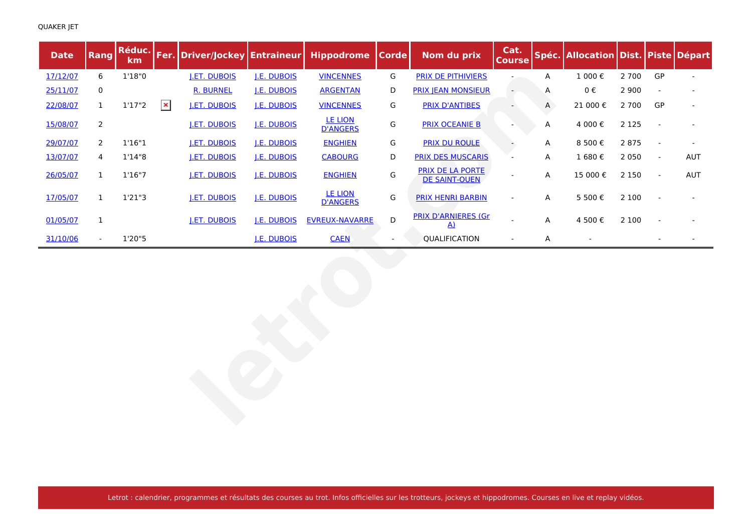| <b>Date</b> | Rang           | Réduc.<br><b>km</b> |                | Fer. Driver/Jockey  | <b>Entraineur</b>  | <b>Hippodrome</b>                 | <b>Corde</b>             | Nom du prix                                   | Cat.<br><b>Course</b> |   | Spéc. Allocation Dist. Piste Départ |         |                          |                |
|-------------|----------------|---------------------|----------------|---------------------|--------------------|-----------------------------------|--------------------------|-----------------------------------------------|-----------------------|---|-------------------------------------|---------|--------------------------|----------------|
| 17/12/07    | 6              | 1'18"0              |                | <b>J.ET. DUBOIS</b> | <b>J.E. DUBOIS</b> | <b>VINCENNES</b>                  | G                        | <b>PRIX DE PITHIVIERS</b>                     |                       | Α | 1 000€                              | 2 700   | GP                       | $\blacksquare$ |
| 25/11/07    | 0              |                     |                | <b>R. BURNEL</b>    | J.E. DUBOIS        | <b>ARGENTAN</b>                   | D                        | <b>PRIX JEAN MONSIEUR</b>                     |                       | Α | $0 \in$                             | 2 9 0 0 |                          |                |
| 22/08/07    | $\mathbf{1}$   | 1'17''2             | $\pmb{\times}$ | <b>J.ET. DUBOIS</b> | <b>J.E. DUBOIS</b> | <b>VINCENNES</b>                  | G                        | <b>PRIX D'ANTIBES</b>                         |                       | Α | 21 000€                             | 2 7 0 0 | GP                       |                |
| 15/08/07    | $\overline{2}$ |                     |                | J.ET. DUBOIS        | J.E. DUBOIS        | <b>LE LION</b><br><b>D'ANGERS</b> | G                        | <b>PRIX OCEANIE B</b>                         |                       | Α | 4 000€                              | 2 1 2 5 |                          |                |
| 29/07/07    | 2              | 1'16''1             |                | <b>J.ET. DUBOIS</b> | <b>J.E. DUBOIS</b> | <b>ENGHIEN</b>                    | G                        | <b>PRIX DU ROULE</b>                          |                       | Α | 8 500€                              | 2 8 7 5 |                          |                |
| 13/07/07    | 4              | 1'14"8              |                | <b>J.ET. DUBOIS</b> | J.E. DUBOIS        | <b>CABOURG</b>                    | D                        | <b>PRIX DES MUSCARIS</b>                      |                       | Α | 1 680€                              | 2 0 5 0 | $\blacksquare$           | AUT            |
| 26/05/07    | $\mathbf{1}$   | 1'16''7             |                | <b>J.ET. DUBOIS</b> | J.E. DUBOIS        | <b>ENGHIEN</b>                    | G                        | PRIX DE LA PORTE<br><b>DE SAINT-OUEN</b>      |                       | A | 15 000€                             | 2 1 5 0 | $\overline{\phantom{a}}$ | AUT            |
| 17/05/07    | $\mathbf{1}$   | 1'21''3             |                | <b>J.ET. DUBOIS</b> | J.E. DUBOIS        | <b>LE LION</b><br><b>D'ANGERS</b> | G                        | <b>PRIX HENRI BARBIN</b>                      | $\blacksquare$        | A | 5 500€                              | 2 100   |                          |                |
| 01/05/07    | $\mathbf{1}$   |                     |                | <b>J.ET. DUBOIS</b> | <b>J.E. DUBOIS</b> | <b>EVREUX-NAVARRE</b>             | D                        | <b>PRIX D'ARNIERES (Gr</b><br>$\underline{A}$ |                       | A | 4 500€                              | 2 100   |                          |                |
| 31/10/06    | $\sim$         | 1'20"5              |                |                     | J.E. DUBOIS        | <b>CAEN</b>                       | $\overline{\phantom{a}}$ | QUALIFICATION                                 | $\blacksquare$        | Α | $\blacksquare$                      |         |                          |                |
|             |                |                     |                |                     |                    |                                   |                          |                                               |                       |   |                                     |         |                          |                |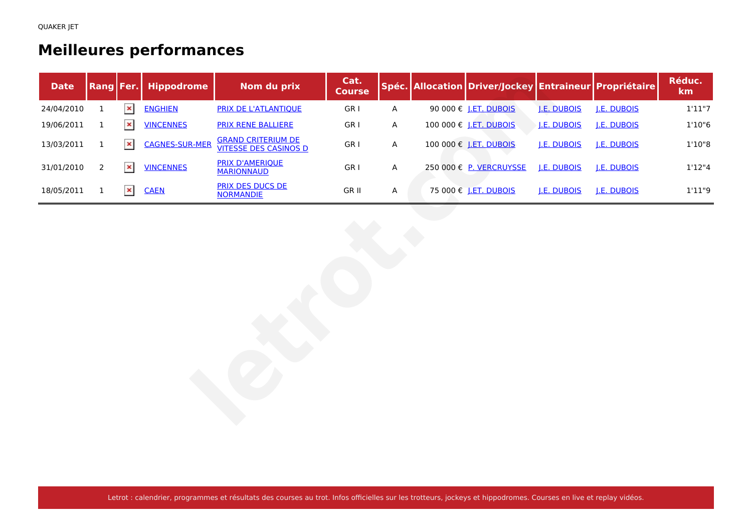## **Meilleures performances**

| <b>Date</b> | Rang Fer.      |                | <b>Hippodrome</b>     | Nom du prix                                               | Cat.<br><b>Course</b> |                           | Spéc. Allocation Driver/Jockey Entraineur Propriétaire |                    |             | Réduc.<br>km |
|-------------|----------------|----------------|-----------------------|-----------------------------------------------------------|-----------------------|---------------------------|--------------------------------------------------------|--------------------|-------------|--------------|
| 24/04/2010  | $\mathbf 1$    | $\pmb{\times}$ | <b>ENGHIEN</b>        | <b>PRIX DE L'ATLANTIQUE</b>                               | GR <sub>I</sub>       | $\boldsymbol{\mathsf{A}}$ | 90 000 € <u>J.ET. DUBOIS</u>                           | J.E. DUBOIS        | J.E. DUBOIS | 1'11''7      |
| 19/06/2011  | $\mathbf{1}$   | $\pmb{\times}$ | <b>VINCENNES</b>      | <b>PRIX RENE BALLIERE</b>                                 | GR I                  | Α                         | 100 000 € J.ET. DUBOIS                                 | <b>J.E. DUBOIS</b> | J.E. DUBOIS | 1'10''6      |
| 13/03/2011  | $\mathbf{1}$   | $\pmb{\times}$ | <b>CAGNES-SUR-MER</b> | <b>GRAND CRITERIUM DE</b><br><b>VITESSE DES CASINOS D</b> | GR I                  | A                         | 100 000 € J.ET. DUBOIS                                 | J.E. DUBOIS        | J.E. DUBOIS | 1'10"8       |
| 31/01/2010  | $\overline{2}$ | $\pmb{\times}$ | <b>VINCENNES</b>      | <b>PRIX D'AMERIQUE</b><br><b>MARIONNAUD</b>               | GR I                  | A                         | 250 000 € P. VERCRUYSSE                                | J.E. DUBOIS        | J.E. DUBOIS | 1'12''4      |
| 18/05/2011  | $\mathbf{1}$   | $\pmb{\times}$ | <b>CAEN</b>           | <b>PRIX DES DUCS DE</b><br><b>NORMANDIE</b>               | GR II                 | A                         | 75 000 € <u>J.ET. DUBOIS</u>                           | J.E. DUBOIS        | J.E. DUBOIS | 1'11''9      |
|             |                |                |                       |                                                           |                       |                           |                                                        |                    |             |              |